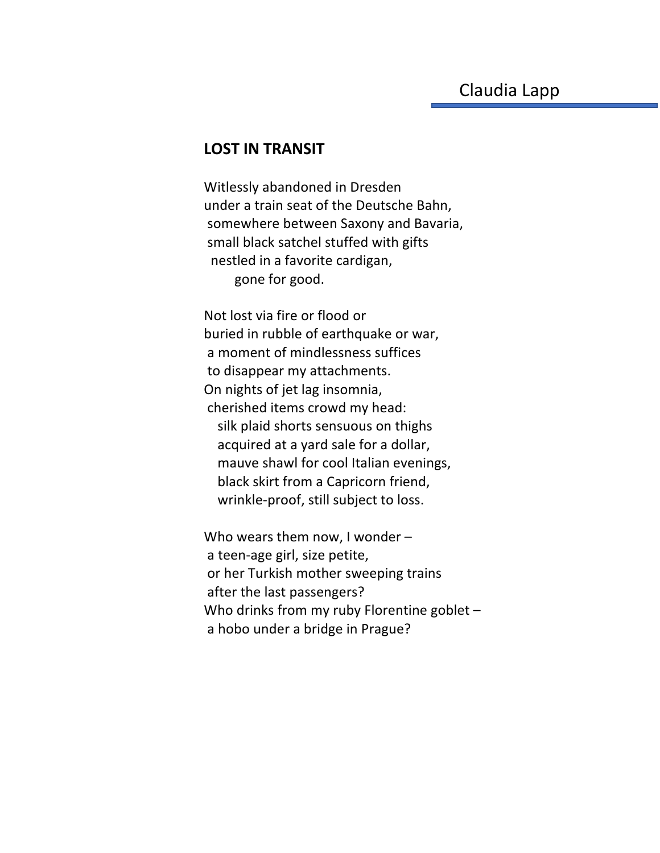## **LOST IN TRANSIT**

Witlessly abandoned in Dresden under a train seat of the Deutsche Bahn, somewhere between Saxony and Bavaria, small black satchel stuffed with gifts nestled in a favorite cardigan, gone for good.

Not lost via fire or flood or buried in rubble of earthquake or war, a moment of mindlessness suffices to disappear my attachments. On nights of jet lag insomnia, cherished items crowd my head: silk plaid shorts sensuous on thighs acquired at a yard sale for a dollar, mauve shawl for cool Italian evenings, black skirt from a Capricorn friend, wrinkle-proof, still subject to loss.

Who wears them now, I wonder – a teen-age girl, size petite, or her Turkish mother sweeping trains after the last passengers? Who drinks from my ruby Florentine goblet a hobo under a bridge in Prague?